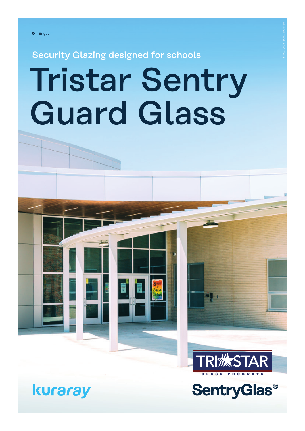Security Glazing designed for schools

# Tristar Sentry Guard Glass



**SentryGlas®**